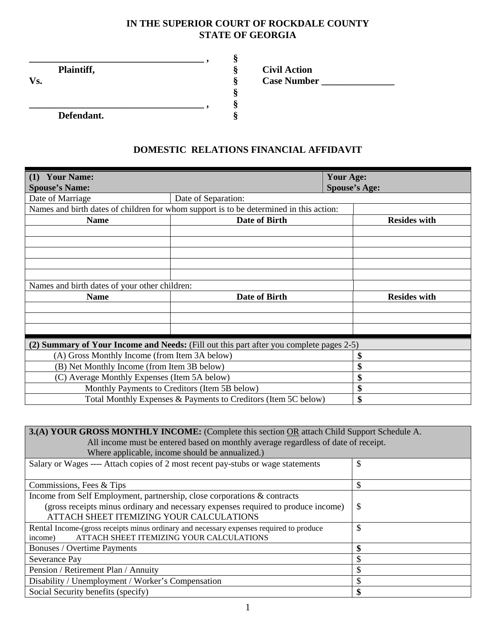## **IN THE SUPERIOR COURT OF ROCKDALE COUNTY STATE OF GEORGIA**

|            |            | ಲ         |                     |
|------------|------------|-----------|---------------------|
| Plaintiff, |            |           | <b>Civil Action</b> |
| Vs.        |            |           | <b>Case Number</b>  |
|            |            |           |                     |
|            |            | $\bullet$ |                     |
|            | Defendant. |           |                     |

## **DOMESTIC RELATIONS FINANCIAL AFFIDAVIT**

| <b>Your Name:</b><br>(1)<br><b>Spouse's Name:</b> |                                                                                         | <b>Your Age:</b><br><b>Spouse's Age:</b> |
|---------------------------------------------------|-----------------------------------------------------------------------------------------|------------------------------------------|
| Date of Marriage                                  | Date of Separation:                                                                     |                                          |
|                                                   | Names and birth dates of children for whom support is to be determined in this action:  |                                          |
| <b>Name</b>                                       | Date of Birth                                                                           | <b>Resides with</b>                      |
|                                                   |                                                                                         |                                          |
|                                                   |                                                                                         |                                          |
|                                                   |                                                                                         |                                          |
|                                                   |                                                                                         |                                          |
|                                                   |                                                                                         |                                          |
| Names and birth dates of your other children:     |                                                                                         |                                          |
| <b>Name</b>                                       | Date of Birth                                                                           | <b>Resides with</b>                      |
|                                                   |                                                                                         |                                          |
|                                                   |                                                                                         |                                          |
|                                                   |                                                                                         |                                          |
|                                                   | (2) Summary of Your Income and Needs: (Fill out this part after you complete pages 2-5) |                                          |
| (A) Gross Monthly Income (from Item 3A below)     |                                                                                         | \$                                       |
| (B) Net Monthly Income (from Item 3B below)       | \$                                                                                      |                                          |
| (C) Average Monthly Expenses (Item 5A below)      | \$                                                                                      |                                          |
|                                                   | Monthly Payments to Creditors (Item 5B below)                                           | \$                                       |
|                                                   | Total Monthly Expenses & Payments to Creditors (Item 5C below)                          | \$                                       |

| 3.(A) YOUR GROSS MONTHLY INCOME: (Complete this section OR attach Child Support Schedule A.                                                    |    |  |  |  |
|------------------------------------------------------------------------------------------------------------------------------------------------|----|--|--|--|
| All income must be entered based on monthly average regardless of date of receipt.                                                             |    |  |  |  |
| Where applicable, income should be annualized.)                                                                                                |    |  |  |  |
| Salary or Wages ---- Attach copies of 2 most recent pay-stubs or wage statements                                                               | \$ |  |  |  |
| Commissions, Fees & Tips                                                                                                                       | \$ |  |  |  |
| Income from Self Employment, partnership, close corporations & contracts                                                                       |    |  |  |  |
| (gross receipts minus ordinary and necessary expenses required to produce income)<br>ATTACH SHEET ITEMIZING YOUR CALCULATIONS                  | \$ |  |  |  |
| Rental Income-(gross receipts minus ordinary and necessary expenses required to produce<br>ATTACH SHEET ITEMIZING YOUR CALCULATIONS<br>income) | \$ |  |  |  |
| \$<br>Bonuses / Overtime Payments                                                                                                              |    |  |  |  |
| Severance Pay                                                                                                                                  |    |  |  |  |
| Pension / Retirement Plan / Annuity                                                                                                            |    |  |  |  |
| Disability / Unemployment / Worker's Compensation                                                                                              |    |  |  |  |
| Social Security benefits (specify)                                                                                                             | \$ |  |  |  |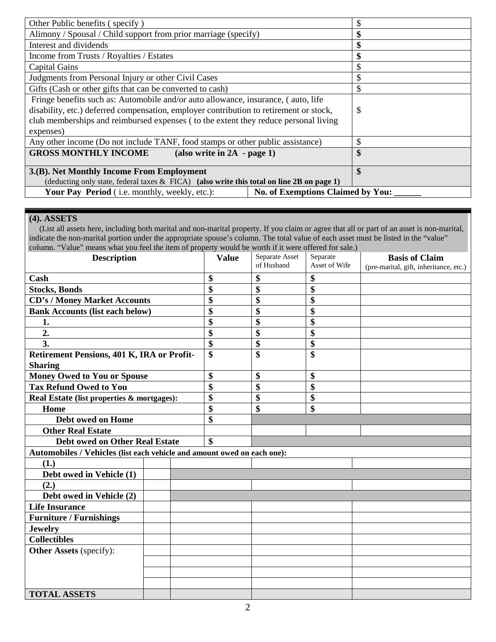| Other Public benefits (specify)                                                              | S  |
|----------------------------------------------------------------------------------------------|----|
| Alimony / Spousal / Child support from prior marriage (specify)                              | \$ |
| Interest and dividends                                                                       | \$ |
| Income from Trusts / Royalties / Estates                                                     | \$ |
| <b>Capital Gains</b>                                                                         | \$ |
| Judgments from Personal Injury or other Civil Cases                                          | \$ |
| Gifts (Cash or other gifts that can be converted to cash)                                    | \$ |
| Fringe benefits such as: Automobile and/or auto allowance, insurance, (auto, life            |    |
| disability, etc.) deferred compensation, employer contribution to retirement or stock,       | \$ |
| club memberships and reimbursed expenses (to the extent they reduce personal living          |    |
| expenses)                                                                                    |    |
| Any other income (Do not include TANF, food stamps or other public assistance)               | \$ |
| <b>GROSS MONTHLY INCOME</b><br>$(also write in 2A - page 1)$                                 | \$ |
|                                                                                              |    |
| 3.(B). Net Monthly Income From Employment                                                    | \$ |
| (deducting only state, federal taxes $\&$ FICA) (also write this total on line 2B on page 1) |    |
| No. of Exemptions Claimed by You:<br><b>Your Pay Period</b> (i.e. monthly, weekly, etc.):    |    |

## **(4). ASSETS**

 (List all assets here, including both marital and non-marital property. If you claim or agree that all or part of an asset is non-marital, indicate the non-marital portion under the appropriate spouse's column. The total value of each asset must be listed in the "value" column. "Value" means what you feel the item of property would be worth if it were offered for sale.)

| <b>Description</b>                                                      |  | <b>Value</b> | Separate Asset<br>of Husband | Separate<br>Asset of Wife | <b>Basis of Claim</b><br>(pre-marital, gift, inheritance, etc.) |  |
|-------------------------------------------------------------------------|--|--------------|------------------------------|---------------------------|-----------------------------------------------------------------|--|
| Cash                                                                    |  | \$           | \$                           | \$                        |                                                                 |  |
| <b>Stocks, Bonds</b>                                                    |  |              | \$                           | \$                        | \$                                                              |  |
| <b>CD's / Money Market Accounts</b>                                     |  |              | \$                           | \$                        | \$                                                              |  |
| <b>Bank Accounts (list each below)</b>                                  |  |              | \$                           | \$                        | \$                                                              |  |
| 1.                                                                      |  |              | \$                           | \$                        | \$                                                              |  |
| 2.                                                                      |  |              | \$                           | \$                        | \$                                                              |  |
| 3.                                                                      |  |              | \$                           | \$                        | \$                                                              |  |
| Retirement Pensions, 401 K, IRA or Profit-                              |  |              | \$                           | \$                        | \$                                                              |  |
| <b>Sharing</b>                                                          |  |              |                              |                           |                                                                 |  |
| <b>Money Owed to You or Spouse</b>                                      |  |              | \$                           | \$                        | \$                                                              |  |
| <b>Tax Refund Owed to You</b>                                           |  |              | \$                           | \$                        | \$                                                              |  |
| Real Estate (list properties & mortgages):                              |  |              | \$                           | \$                        | \$                                                              |  |
| Home                                                                    |  |              | \$                           | \$                        | \$                                                              |  |
| Debt owed on Home                                                       |  |              | \$                           |                           |                                                                 |  |
| <b>Other Real Estate</b>                                                |  |              |                              |                           |                                                                 |  |
| <b>Debt owed on Other Real Estate</b>                                   |  |              | \$                           |                           |                                                                 |  |
| Automobiles / Vehicles (list each vehicle and amount owed on each one): |  |              |                              |                           |                                                                 |  |
| (1.)                                                                    |  |              |                              |                           |                                                                 |  |
| Debt owed in Vehicle (1)                                                |  |              |                              |                           |                                                                 |  |
| (2.)                                                                    |  |              |                              |                           |                                                                 |  |
| Debt owed in Vehicle (2)                                                |  |              |                              |                           |                                                                 |  |
| <b>Life Insurance</b>                                                   |  |              |                              |                           |                                                                 |  |
| <b>Furniture / Furnishings</b>                                          |  |              |                              |                           |                                                                 |  |
| <b>Jewelry</b>                                                          |  |              |                              |                           |                                                                 |  |
| <b>Collectibles</b>                                                     |  |              |                              |                           |                                                                 |  |
| Other Assets (specify):                                                 |  |              |                              |                           |                                                                 |  |
|                                                                         |  |              |                              |                           |                                                                 |  |
|                                                                         |  |              |                              |                           |                                                                 |  |
|                                                                         |  |              |                              |                           |                                                                 |  |
| <b>TOTAL ASSETS</b>                                                     |  |              |                              |                           |                                                                 |  |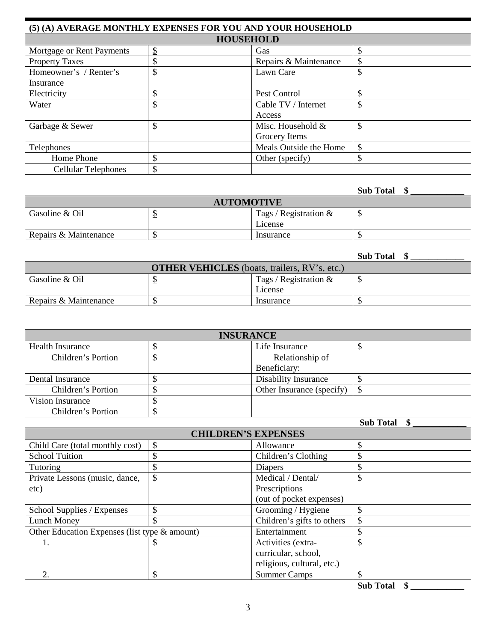| (5) (A) AVERAGE MONTHLY EXPENSES FOR YOU AND YOUR HOUSEHOLD |                  |                        |    |  |  |  |
|-------------------------------------------------------------|------------------|------------------------|----|--|--|--|
|                                                             | <b>HOUSEHOLD</b> |                        |    |  |  |  |
| Mortgage or Rent Payments                                   | $\frac{1}{2}$    | Gas                    | \$ |  |  |  |
| <b>Property Taxes</b>                                       | \$               | Repairs & Maintenance  | \$ |  |  |  |
| Homeowner's / Renter's                                      | \$               | Lawn Care              | \$ |  |  |  |
| Insurance                                                   |                  |                        |    |  |  |  |
| Electricity                                                 | Φ                | Pest Control           | \$ |  |  |  |
| Water                                                       | \$               | Cable TV / Internet    | \$ |  |  |  |
|                                                             |                  | Access                 |    |  |  |  |
| Garbage & Sewer                                             | \$               | Misc. Household &      | \$ |  |  |  |
|                                                             |                  | Grocery Items          |    |  |  |  |
| Telephones                                                  |                  | Meals Outside the Home | \$ |  |  |  |
| Home Phone                                                  | \$               | Other (specify)        | \$ |  |  |  |
| <b>Cellular Telephones</b>                                  | \$               |                        |    |  |  |  |

## **Sub Total \$ \_\_\_\_\_\_\_\_\_\_\_\_**

| <b>AUTOMOTIVE</b>     |           |                          |   |  |
|-----------------------|-----------|--------------------------|---|--|
| Gasoline & Oil        |           | Tags / Registration $\&$ | u |  |
|                       |           | License                  |   |  |
| Repairs & Maintenance | Insurance |                          |   |  |

|                       |                                                     |                          | <b>Sub Total</b> |
|-----------------------|-----------------------------------------------------|--------------------------|------------------|
|                       | <b>OTHER VEHICLES</b> (boats, trailers, RV's, etc.) |                          |                  |
| Gasoline & Oil        |                                                     | Tags / Registration $\&$ | ◡                |
|                       |                                                     | License                  |                  |
| Repairs & Maintenance |                                                     | Insurance                |                  |

| <b>INSURANCE</b>        |  |                             |  |  |  |
|-------------------------|--|-----------------------------|--|--|--|
| <b>Health Insurance</b> |  | Life Insurance              |  |  |  |
| Children's Portion      |  | Relationship of             |  |  |  |
| Beneficiary:            |  |                             |  |  |  |
| Dental Insurance        |  | <b>Disability Insurance</b> |  |  |  |
| Children's Portion      |  | Other Insurance (specify)   |  |  |  |
| Vision Insurance        |  |                             |  |  |  |
| Children's Portion      |  |                             |  |  |  |

 **Sub Total \$ \_\_\_\_\_\_\_\_\_\_\_\_**

| <b>CHILDREN'S EXPENSES</b>                    |    |                            |    |  |  |
|-----------------------------------------------|----|----------------------------|----|--|--|
| \$<br>Child Care (total monthly cost)         |    | Allowance                  | \$ |  |  |
| <b>School Tuition</b>                         |    | Children's Clothing        | \$ |  |  |
| <b>Tutoring</b>                               |    | Diapers                    |    |  |  |
| Private Lessons (music, dance,                | \$ | Medical / Dental/          | \$ |  |  |
| etc)                                          |    | Prescriptions              |    |  |  |
|                                               |    | (out of pocket expenses)   |    |  |  |
| School Supplies / Expenses                    | \$ | Grooming / Hygiene         | \$ |  |  |
| <b>Lunch Money</b>                            |    | Children's gifts to others | \$ |  |  |
| Other Education Expenses (list type & amount) |    | Entertainment              | \$ |  |  |
|                                               |    | Activities (extra-         | \$ |  |  |
|                                               |    | curricular, school,        |    |  |  |
|                                               |    | religious, cultural, etc.) |    |  |  |
| $\overline{2}$ .                              |    | <b>Summer Camps</b>        | \$ |  |  |

**Sub Total \$ \_\_\_\_\_\_\_\_\_\_\_\_**